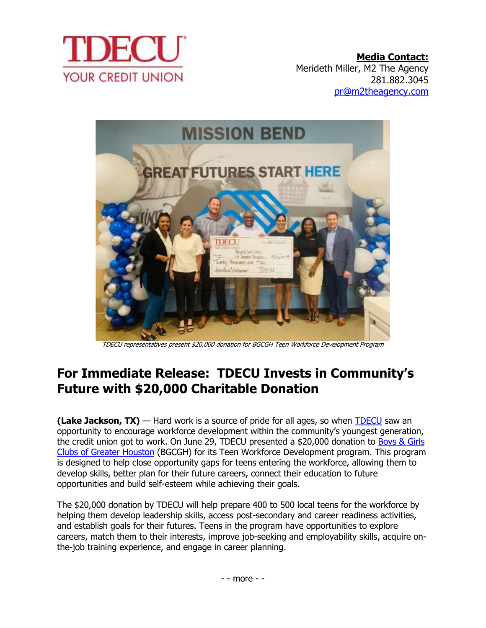

**Media Contact:** Merideth Miller, M2 The Agency 281.882.3045 [pr@m2theagency.com](mailto:pr@m2theagency.com)



TDECU representatives present \$20,000 donation for BGCGH Teen Workforce Development Program

## **For Immediate Release: TDECU Invests in Community's Future with \$20,000 Charitable Donation**

**(Lake Jackson, TX)** — Hard work is a source of pride for all ages, so when [TDECU](https://www.tdecu.org/) saw an opportunity to encourage workforce development within the community's youngest generation, the credit union got to work. On June 29, TDECU presented a \$20,000 donation to Boys & Girls [Clubs of Greater Houston](https://www.bgcgh.org/) (BGCGH) for its Teen Workforce Development program. This program is designed to help close opportunity gaps for teens entering the workforce, allowing them to develop skills, better plan for their future careers, connect their education to future opportunities and build self-esteem while achieving their goals.

The \$20,000 donation by TDECU will help prepare 400 to 500 local teens for the workforce by helping them develop leadership skills, access post-secondary and career readiness activities, and establish goals for their futures. Teens in the program have opportunities to explore careers, match them to their interests, improve job-seeking and employability skills, acquire onthe-job training experience, and engage in career planning.